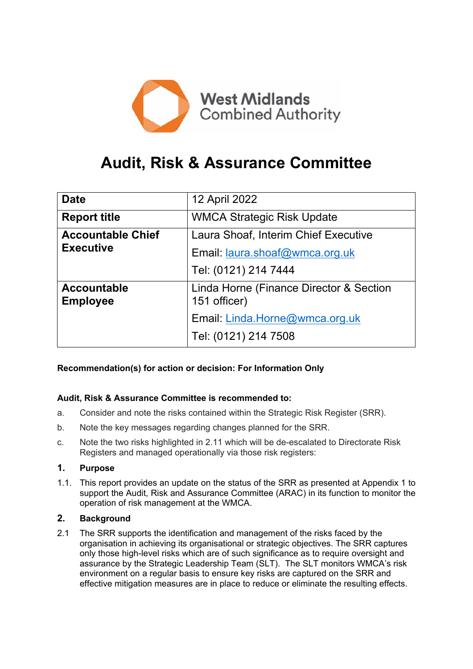

# **Audit, Risk & Assurance Committee**

| <b>Date</b>                           | 12 April 2022                                           |
|---------------------------------------|---------------------------------------------------------|
| <b>Report title</b>                   | <b>WMCA Strategic Risk Update</b>                       |
| <b>Accountable Chief</b>              | Laura Shoaf, Interim Chief Executive                    |
| <b>Executive</b>                      | Email: laura.shoaf@wmca.org.uk                          |
|                                       | Tel: (0121) 214 7444                                    |
| <b>Accountable</b><br><b>Employee</b> | Linda Horne (Finance Director & Section<br>151 officer) |
|                                       | Email: Linda.Horne@wmca.org.uk                          |
|                                       | Tel: (0121) 214 7508                                    |
|                                       |                                                         |

## **Recommendation(s) for action or decision: For Information Only**

## **Audit, Risk & Assurance Committee is recommended to:**

- a. Consider and note the risks contained within the Strategic Risk Register (SRR).
- b. Note the key messages regarding changes planned for the SRR.
- c. Note the two risks highlighted in 2.11 which will be de-escalated to Directorate Risk Registers and managed operationally via those risk registers:

## **1. Purpose**

1.1. This report provides an update on the status of the SRR as presented at Appendix 1 to support the Audit, Risk and Assurance Committee (ARAC) in its function to monitor the operation of risk management at the WMCA.

## **2. Background**

2.1 The SRR supports the identification and management of the risks faced by the organisation in achieving its organisational or strategic objectives. The SRR captures only those high-level risks which are of such significance as to require oversight and assurance by the Strategic Leadership Team (SLT). The SLT monitors WMCA's risk environment on a regular basis to ensure key risks are captured on the SRR and effective mitigation measures are in place to reduce or eliminate the resulting effects.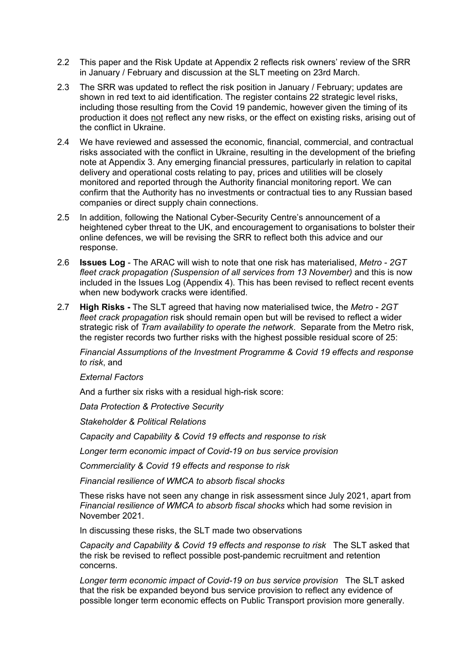- 2.2 This paper and the Risk Update at Appendix 2 reflects risk owners' review of the SRR in January / February and discussion at the SLT meeting on 23rd March.
- 2.3 The SRR was updated to reflect the risk position in January / February; updates are shown in red text to aid identification. The register contains 22 strategic level risks, including those resulting from the Covid 19 pandemic, however given the timing of its production it does not reflect any new risks, or the effect on existing risks, arising out of the conflict in Ukraine.
- 2.4 We have reviewed and assessed the economic, financial, commercial, and contractual risks associated with the conflict in Ukraine, resulting in the development of the briefing note at Appendix 3. Any emerging financial pressures, particularly in relation to capital delivery and operational costs relating to pay, prices and utilities will be closely monitored and reported through the Authority financial monitoring report. We can confirm that the Authority has no investments or contractual ties to any Russian based companies or direct supply chain connections.
- 2.5 In addition, following the National Cyber-Security Centre's announcement of a heightened cyber threat to the UK, and encouragement to organisations to bolster their online defences, we will be revising the SRR to reflect both this advice and our response.
- 2.6 **Issues Log** The ARAC will wish to note that one risk has materialised, *Metro - 2GT fleet crack propagation (Suspension of all services from 13 November)* and this is now included in the Issues Log (Appendix 4). This has been revised to reflect recent events when new bodywork cracks were identified.
- 2.7 **High Risks -** The SLT agreed that having now materialised twice, the *Metro - 2GT fleet crack propagation* risk should remain open but will be revised to reflect a wider strategic risk of *Tram availability to operate the network*. Separate from the Metro risk, the register records two further risks with the highest possible residual score of 25:

*Financial Assumptions of the Investment Programme & Covid 19 effects and response to risk*, and

*External Factors*

And a further six risks with a residual high-risk score:

*Data Protection & Protective Security*

*Stakeholder & Political Relations*

*Capacity and Capability & Covid 19 effects and response to risk* 

*Longer term economic impact of Covid-19 on bus service provision*

*Commerciality & Covid 19 effects and response to risk*

*Financial resilience of WMCA to absorb fiscal shocks*

These risks have not seen any change in risk assessment since July 2021, apart from *Financial resilience of WMCA to absorb fiscal shocks* which had some revision in November 2021.

In discussing these risks, the SLT made two observations

*Capacity and Capability & Covid 19 effects and response to risk* The SLT asked that the risk be revised to reflect possible post-pandemic recruitment and retention concerns.

*Longer term economic impact of Covid-19 on bus service provision* The SLT asked that the risk be expanded beyond bus service provision to reflect any evidence of possible longer term economic effects on Public Transport provision more generally.